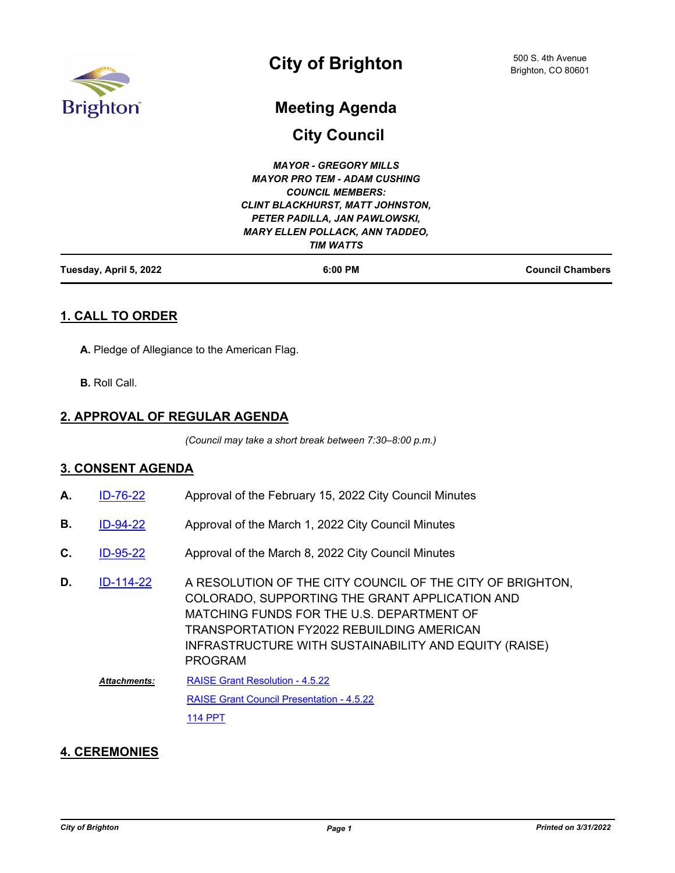

# **City of Brighton**

## **Meeting Agenda**

**City Council**

### **1. CALL TO ORDER**

**A.** Pledge of Allegiance to the American Flag.

**B.** Roll Call.

## **2. APPROVAL OF REGULAR AGENDA**

*(Council may take a short break between 7:30–8:00 p.m.)*

#### **3. CONSENT AGENDA**

- **A.** [ID-76-22](http://brightonco.legistar.com/gateway.aspx?m=l&id=/matter.aspx?key=4715) Approval of the February 15, 2022 City Council Minutes
- **B.** [ID-94-22](http://brightonco.legistar.com/gateway.aspx?m=l&id=/matter.aspx?key=4733) Approval of the March 1, 2022 City Council Minutes
- **C.** [ID-95-22](http://brightonco.legistar.com/gateway.aspx?m=l&id=/matter.aspx?key=4734) Approval of the March 8, 2022 City Council Minutes
- A RESOLUTION OF THE CITY COUNCIL OF THE CITY OF BRIGHTON, COLORADO, SUPPORTING THE GRANT APPLICATION AND MATCHING FUNDS FOR THE U.S. DEPARTMENT OF TRANSPORTATION FY2022 REBUILDING AMERICAN INFRASTRUCTURE WITH SUSTAINABILITY AND EQUITY (RAISE) PROGRAM **D.** [ID-114-22](http://brightonco.legistar.com/gateway.aspx?m=l&id=/matter.aspx?key=4753) [RAISE Grant Resolution - 4.5.22](http://brightonco.legistar.com/gateway.aspx?M=F&ID=f673ad37-17ef-41ee-92b7-4b8d4e764720.docx) [RAISE Grant Council Presentation - 4.5.22](http://brightonco.legistar.com/gateway.aspx?M=F&ID=b6c74caf-cabe-41ef-ba52-ce4b549a899f.pptx) [114 PPT](http://brightonco.legistar.com/gateway.aspx?M=F&ID=4461f78f-0ec1-41b2-91bf-51afc6a5f876.pdf) *Attachments:*

#### **4. CEREMONIES**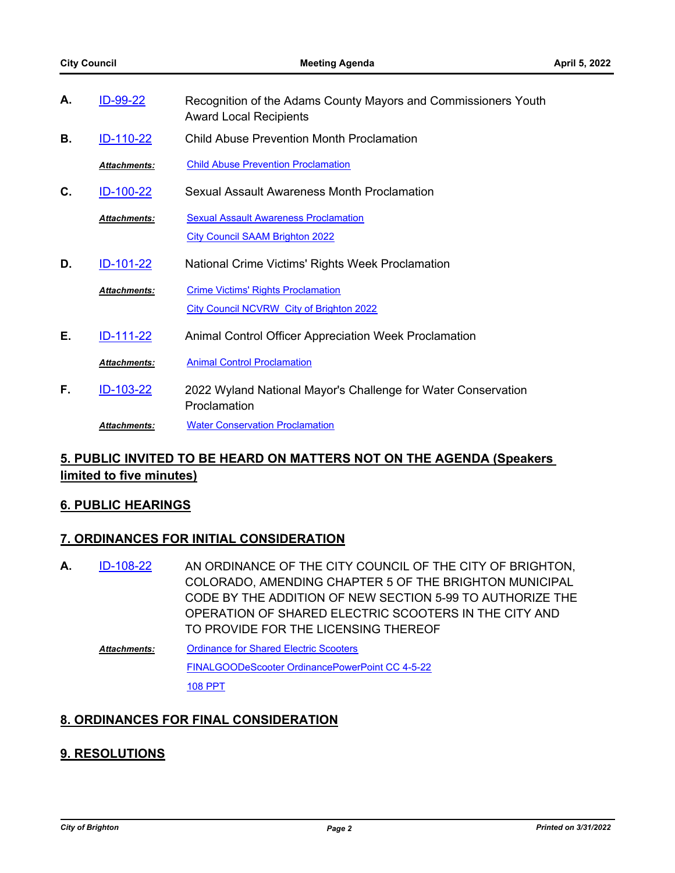| А. | ID-99-22            | Recognition of the Adams County Mayors and Commissioners Youth<br><b>Award Local Recipients</b> |
|----|---------------------|-------------------------------------------------------------------------------------------------|
| В. | <u>ID-110-22</u>    | <b>Child Abuse Prevention Month Proclamation</b>                                                |
|    | <b>Attachments:</b> | <b>Child Abuse Prevention Proclamation</b>                                                      |
| C. | ID-100-22           | Sexual Assault Awareness Month Proclamation                                                     |
|    | <b>Attachments:</b> | <b>Sexual Assault Awareness Proclamation</b>                                                    |
|    |                     | <b>City Council SAAM Brighton 2022</b>                                                          |
| D. | <u>ID-101-22</u>    | National Crime Victims' Rights Week Proclamation                                                |
|    | <b>Attachments:</b> | <b>Crime Victims' Rights Proclamation</b>                                                       |
|    |                     | City Council NCVRW City of Brighton 2022                                                        |
| Е. | ID-111-22           | Animal Control Officer Appreciation Week Proclamation                                           |
|    | <b>Attachments:</b> | <b>Animal Control Proclamation</b>                                                              |
| F. | ID-103-22           | 2022 Wyland National Mayor's Challenge for Water Conservation<br>Proclamation                   |
|    | <b>Attachments:</b> | <b>Water Conservation Proclamation</b>                                                          |

## **5. PUBLIC INVITED TO BE HEARD ON MATTERS NOT ON THE AGENDA (Speakers limited to five minutes)**

#### **6. PUBLIC HEARINGS**

#### **7. ORDINANCES FOR INITIAL CONSIDERATION**

- AN ORDINANCE OF THE CITY COUNCIL OF THE CITY OF BRIGHTON, COLORADO, AMENDING CHAPTER 5 OF THE BRIGHTON MUNICIPAL CODE BY THE ADDITION OF NEW SECTION 5-99 TO AUTHORIZE THE OPERATION OF SHARED ELECTRIC SCOOTERS IN THE CITY AND TO PROVIDE FOR THE LICENSING THEREOF **A.** [ID-108-22](http://brightonco.legistar.com/gateway.aspx?m=l&id=/matter.aspx?key=4747)
	- **[Ordinance for Shared Electric Scooters](http://brightonco.legistar.com/gateway.aspx?M=F&ID=0b2c4e35-2591-4315-a636-8b460e0158f3.docx)** [FINALGOODeScooter OrdinancePowerPoint CC 4-5-22](http://brightonco.legistar.com/gateway.aspx?M=F&ID=4e0140ca-5778-402d-ace5-f7fa87a82d66.pptx) [108 PPT](http://brightonco.legistar.com/gateway.aspx?M=F&ID=0d077809-231d-4d86-9fdb-f49e563f3ce6.pdf) *Attachments:*

#### **8. ORDINANCES FOR FINAL CONSIDERATION**

#### **9. RESOLUTIONS**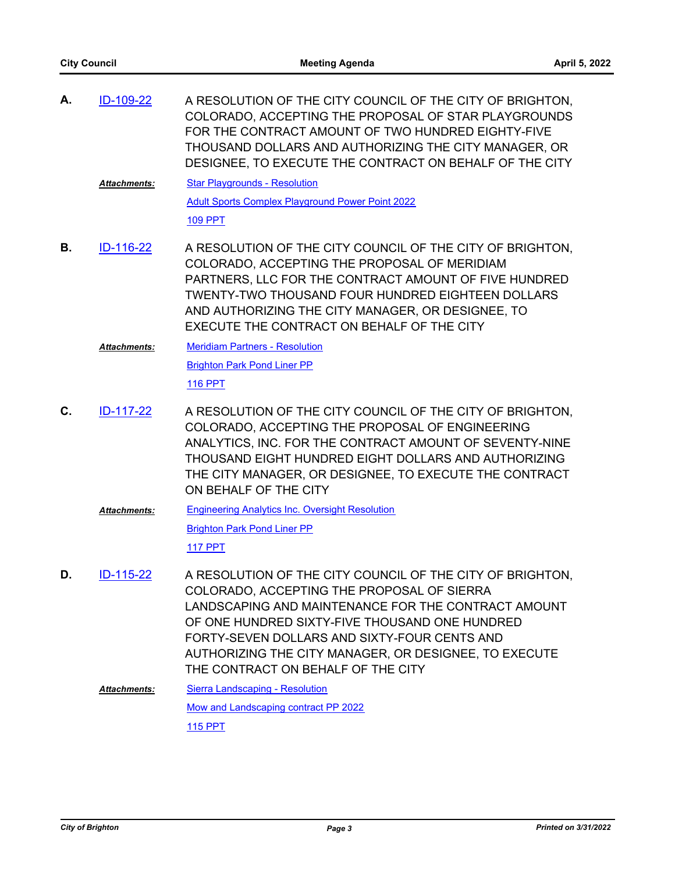| А. | ID-109-22           | A RESOLUTION OF THE CITY COUNCIL OF THE CITY OF BRIGHTON,<br>COLORADO, ACCEPTING THE PROPOSAL OF STAR PLAYGROUNDS<br>FOR THE CONTRACT AMOUNT OF TWO HUNDRED EIGHTY-FIVE<br>THOUSAND DOLLARS AND AUTHORIZING THE CITY MANAGER, OR<br>DESIGNEE, TO EXECUTE THE CONTRACT ON BEHALF OF THE CITY                                                                     |
|----|---------------------|-----------------------------------------------------------------------------------------------------------------------------------------------------------------------------------------------------------------------------------------------------------------------------------------------------------------------------------------------------------------|
|    | <b>Attachments:</b> | <b>Star Playgrounds - Resolution</b>                                                                                                                                                                                                                                                                                                                            |
|    |                     | <b>Adult Sports Complex Playground Power Point 2022</b><br><b>109 PPT</b>                                                                                                                                                                                                                                                                                       |
| В. | <u>ID-116-22</u>    | A RESOLUTION OF THE CITY COUNCIL OF THE CITY OF BRIGHTON,<br>COLORADO, ACCEPTING THE PROPOSAL OF MERIDIAM<br>PARTNERS, LLC FOR THE CONTRACT AMOUNT OF FIVE HUNDRED<br><b>TWENTY-TWO THOUSAND FOUR HUNDRED EIGHTEEN DOLLARS</b><br>AND AUTHORIZING THE CITY MANAGER, OR DESIGNEE, TO<br>EXECUTE THE CONTRACT ON BEHALF OF THE CITY                               |
|    | <b>Attachments:</b> | <b>Meridiam Partners - Resolution</b>                                                                                                                                                                                                                                                                                                                           |
|    |                     | <b>Brighton Park Pond Liner PP</b>                                                                                                                                                                                                                                                                                                                              |
|    |                     | <b>116 PPT</b>                                                                                                                                                                                                                                                                                                                                                  |
| C. | ID-117-22           | A RESOLUTION OF THE CITY COUNCIL OF THE CITY OF BRIGHTON,<br>COLORADO, ACCEPTING THE PROPOSAL OF ENGINEERING<br>ANALYTICS, INC. FOR THE CONTRACT AMOUNT OF SEVENTY-NINE<br>THOUSAND EIGHT HUNDRED EIGHT DOLLARS AND AUTHORIZING<br>THE CITY MANAGER, OR DESIGNEE, TO EXECUTE THE CONTRACT<br>ON BEHALF OF THE CITY                                              |
|    | <b>Attachments:</b> | <b>Engineering Analytics Inc. Oversight Resolution</b>                                                                                                                                                                                                                                                                                                          |
|    |                     | <b>Brighton Park Pond Liner PP</b>                                                                                                                                                                                                                                                                                                                              |
|    |                     | <b>117 PPT</b>                                                                                                                                                                                                                                                                                                                                                  |
| D. | ID-115-22           | A RESOLUTION OF THE CITY COUNCIL OF THE CITY OF BRIGHTON.<br>COLORADO, ACCEPTING THE PROPOSAL OF SIERRA<br>LANDSCAPING AND MAINTENANCE FOR THE CONTRACT AMOUNT<br>OF ONE HUNDRED SIXTY-FIVE THOUSAND ONE HUNDRED<br>FORTY-SEVEN DOLLARS AND SIXTY-FOUR CENTS AND<br>AUTHORIZING THE CITY MANAGER, OR DESIGNEE, TO EXECUTE<br>THE CONTRACT ON BEHALF OF THE CITY |
|    | Attachments:        | <b>Sierra Landscaping - Resolution</b>                                                                                                                                                                                                                                                                                                                          |
|    |                     | Mow and Landscaping contract PP 2022<br>115 PPT                                                                                                                                                                                                                                                                                                                 |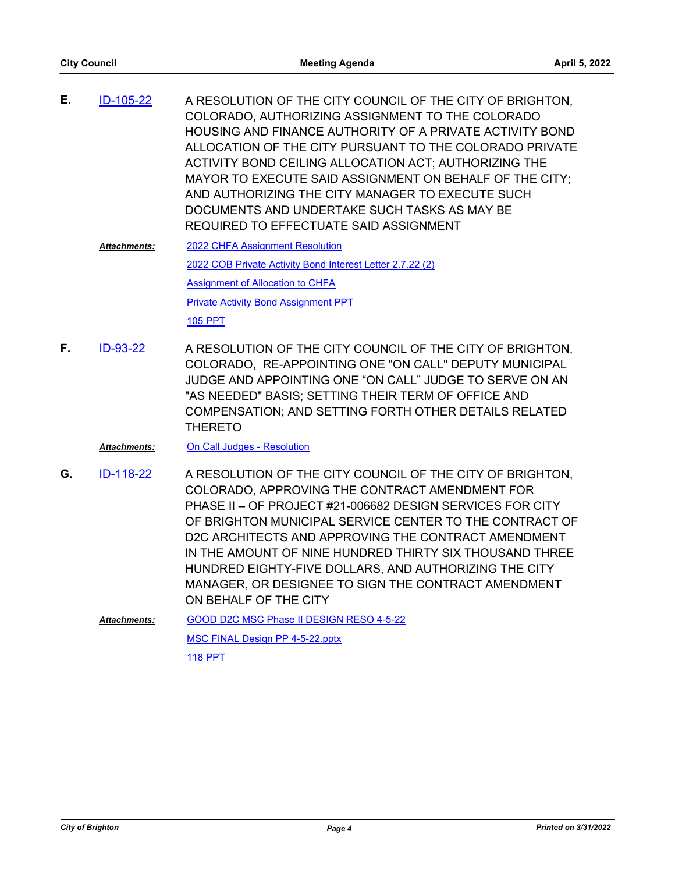- A RESOLUTION OF THE CITY COUNCIL OF THE CITY OF BRIGHTON, COLORADO, AUTHORIZING ASSIGNMENT TO THE COLORADO HOUSING AND FINANCE AUTHORITY OF A PRIVATE ACTIVITY BOND ALLOCATION OF THE CITY PURSUANT TO THE COLORADO PRIVATE ACTIVITY BOND CEILING ALLOCATION ACT; AUTHORIZING THE MAYOR TO EXECUTE SAID ASSIGNMENT ON BEHALF OF THE CITY; AND AUTHORIZING THE CITY MANAGER TO EXECUTE SUCH DOCUMENTS AND UNDERTAKE SUCH TASKS AS MAY BE REQUIRED TO EFFECTUATE SAID ASSIGNMENT **E.** [ID-105-22](http://brightonco.legistar.com/gateway.aspx?m=l&id=/matter.aspx?key=4744)
	- [2022 CHFA Assignment Resolution](http://brightonco.legistar.com/gateway.aspx?M=F&ID=545aff26-7288-4b95-a1bf-6dd2027cee63.docx) [2022 COB Private Activity Bond Interest Letter 2.7.22 \(2\)](http://brightonco.legistar.com/gateway.aspx?M=F&ID=825165bd-a99c-454e-a30f-d97894caee15.pdf) [Assignment of Allocation to CHFA](http://brightonco.legistar.com/gateway.aspx?M=F&ID=cd7dff10-74f9-441f-92b7-a86ccb8441f1.pdf) [Private Activity Bond Assignment PPT](http://brightonco.legistar.com/gateway.aspx?M=F&ID=b2170dfd-a855-4de3-b412-fbf8261d6fe5.pptx) [105 PPT](http://brightonco.legistar.com/gateway.aspx?M=F&ID=17ceb8a4-5473-428f-88e1-55246249aaa5.pdf) *Attachments:*
- A RESOLUTION OF THE CITY COUNCIL OF THE CITY OF BRIGHTON, COLORADO, RE-APPOINTING ONE "ON CALL" DEPUTY MUNICIPAL JUDGE AND APPOINTING ONE "ON CALL" JUDGE TO SERVE ON AN "AS NEEDED" BASIS; SETTING THEIR TERM OF OFFICE AND COMPENSATION; AND SETTING FORTH OTHER DETAILS RELATED THERETO **F.** [ID-93-22](http://brightonco.legistar.com/gateway.aspx?m=l&id=/matter.aspx?key=4732)

#### *Attachments:* [On Call Judges - Resolution](http://brightonco.legistar.com/gateway.aspx?M=F&ID=08ed6168-5c08-4756-84d8-381ba49cfd77.docx)

- A RESOLUTION OF THE CITY COUNCIL OF THE CITY OF BRIGHTON, COLORADO, APPROVING THE CONTRACT AMENDMENT FOR PHASE II – OF PROJECT #21-006682 DESIGN SERVICES FOR CITY OF BRIGHTON MUNICIPAL SERVICE CENTER TO THE CONTRACT OF D2C ARCHITECTS AND APPROVING THE CONTRACT AMENDMENT IN THE AMOUNT OF NINE HUNDRED THIRTY SIX THOUSAND THREE HUNDRED EIGHTY-FIVE DOLLARS, AND AUTHORIZING THE CITY MANAGER, OR DESIGNEE TO SIGN THE CONTRACT AMENDMENT ON BEHALF OF THE CITY **G.** [ID-118-22](http://brightonco.legistar.com/gateway.aspx?m=l&id=/matter.aspx?key=4757)
	- [GOOD D2C MSC Phase II DESIGN RESO 4-5-22](http://brightonco.legistar.com/gateway.aspx?M=F&ID=66485b9d-41d3-42d6-9302-8ce09445f2bd.docx) [MSC FINAL Design PP 4-5-22.pptx](http://brightonco.legistar.com/gateway.aspx?M=F&ID=f3705d43-7562-4c62-89ec-f3dc49040c05.pptx) [118 PPT](http://brightonco.legistar.com/gateway.aspx?M=F&ID=4f02ccfe-f79f-44ca-8e0f-2523f74f34ff.pdf) *Attachments:*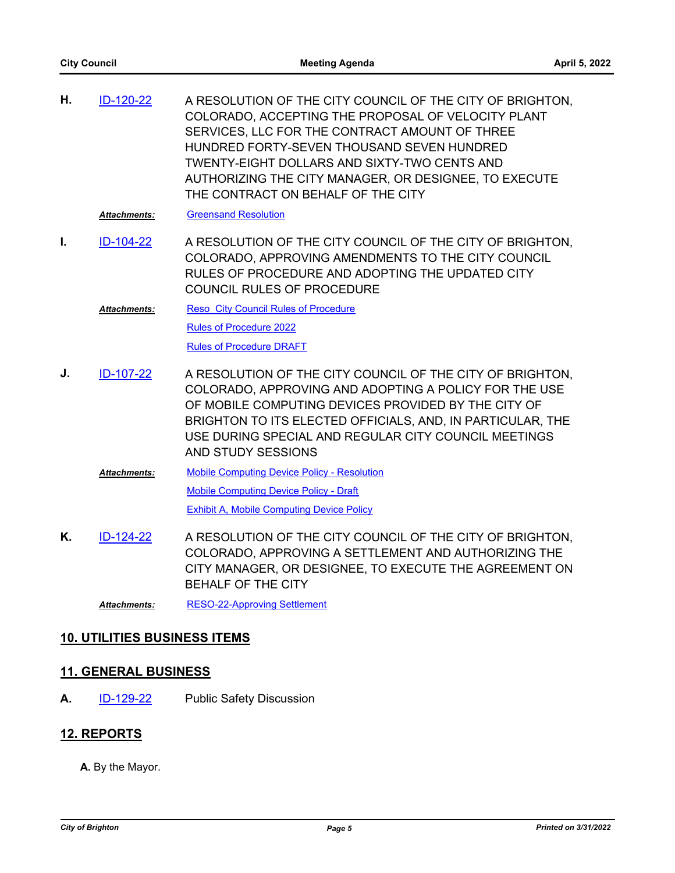| Η. | ID-120-22           | A RESOLUTION OF THE CITY COUNCIL OF THE CITY OF BRIGHTON,<br>COLORADO, ACCEPTING THE PROPOSAL OF VELOCITY PLANT<br>SERVICES, LLC FOR THE CONTRACT AMOUNT OF THREE<br>HUNDRED FORTY-SEVEN THOUSAND SEVEN HUNDRED<br><b>TWENTY-EIGHT DOLLARS AND SIXTY-TWO CENTS AND</b><br>AUTHORIZING THE CITY MANAGER, OR DESIGNEE, TO EXECUTE<br>THE CONTRACT ON BEHALF OF THE CITY |
|----|---------------------|-----------------------------------------------------------------------------------------------------------------------------------------------------------------------------------------------------------------------------------------------------------------------------------------------------------------------------------------------------------------------|
|    | <b>Attachments:</b> | <b>Greensand Resolution</b>                                                                                                                                                                                                                                                                                                                                           |
| Ι. | ID-104-22           | A RESOLUTION OF THE CITY COUNCIL OF THE CITY OF BRIGHTON.<br>COLORADO, APPROVING AMENDMENTS TO THE CITY COUNCIL<br>RULES OF PROCEDURE AND ADOPTING THE UPDATED CITY<br><b>COUNCIL RULES OF PROCEDURE</b>                                                                                                                                                              |
|    | <b>Attachments:</b> | <b>Reso City Council Rules of Procedure</b>                                                                                                                                                                                                                                                                                                                           |
|    |                     | <b>Rules of Procedure 2022</b>                                                                                                                                                                                                                                                                                                                                        |
|    |                     | <b>Rules of Procedure DRAFT</b>                                                                                                                                                                                                                                                                                                                                       |
| J. | ID-107-22           | A RESOLUTION OF THE CITY COUNCIL OF THE CITY OF BRIGHTON,<br>COLORADO, APPROVING AND ADOPTING A POLICY FOR THE USE<br>OF MOBILE COMPUTING DEVICES PROVIDED BY THE CITY OF<br>BRIGHTON TO ITS ELECTED OFFICIALS, AND, IN PARTICULAR, THE<br>USE DURING SPECIAL AND REGULAR CITY COUNCIL MEETINGS<br>AND STUDY SESSIONS                                                 |
|    | <b>Attachments:</b> | <b>Mobile Computing Device Policy - Resolution</b>                                                                                                                                                                                                                                                                                                                    |
|    |                     | <b>Mobile Computing Device Policy - Draft</b>                                                                                                                                                                                                                                                                                                                         |
|    |                     | <b>Exhibit A, Mobile Computing Device Policy</b>                                                                                                                                                                                                                                                                                                                      |
| Κ. | ID-124-22           | A RESOLUTION OF THE CITY COUNCIL OF THE CITY OF BRIGHTON,<br>COLORADO, APPROVING A SETTLEMENT AND AUTHORIZING THE<br>CITY MANAGER, OR DESIGNEE, TO EXECUTE THE AGREEMENT ON<br><b>BEHALF OF THE CITY</b>                                                                                                                                                              |

*Attachments:* [RESO-22-Approving Settlement](http://brightonco.legistar.com/gateway.aspx?M=F&ID=1dbf6fb8-4be5-4039-8d61-14fa30f79a08.docx)

### **10. UTILITIES BUSINESS ITEMS**

## **11. GENERAL BUSINESS**

**A.** [ID-129-22](http://brightonco.legistar.com/gateway.aspx?m=l&id=/matter.aspx?key=4768) Public Safety Discussion

#### **12. REPORTS**

**A.** By the Mayor.